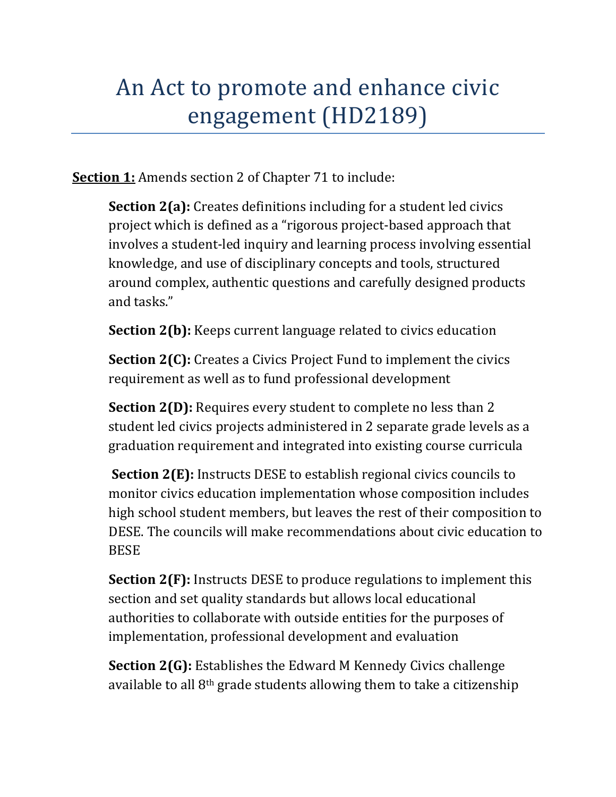## An Act to promote and enhance civic engagement (HD2189)

**Section 1:** Amends section 2 of Chapter 71 to include:

**Section 2(a):** Creates definitions including for a student led civics project which is defined as a "rigorous project-based approach that involves a student-led inquiry and learning process involving essential knowledge, and use of disciplinary concepts and tools, structured around complex, authentic questions and carefully designed products and tasks."

**Section 2(b):** Keeps current language related to civics education

**Section 2(C):** Creates a Civics Project Fund to implement the civics requirement as well as to fund professional development

**Section 2(D):** Requires every student to complete no less than 2 student led civics projects administered in 2 separate grade levels as a graduation requirement and integrated into existing course curricula

**Section 2(E):** Instructs DESE to establish regional civics councils to monitor civics education implementation whose composition includes high school student members, but leaves the rest of their composition to DESE. The councils will make recommendations about civic education to BESE 

**Section 2(F):** Instructs DESE to produce regulations to implement this section and set quality standards but allows local educational authorities to collaborate with outside entities for the purposes of implementation, professional development and evaluation

**Section 2(G):** Establishes the Edward M Kennedy Civics challenge available to all  $8<sup>th</sup>$  grade students allowing them to take a citizenship